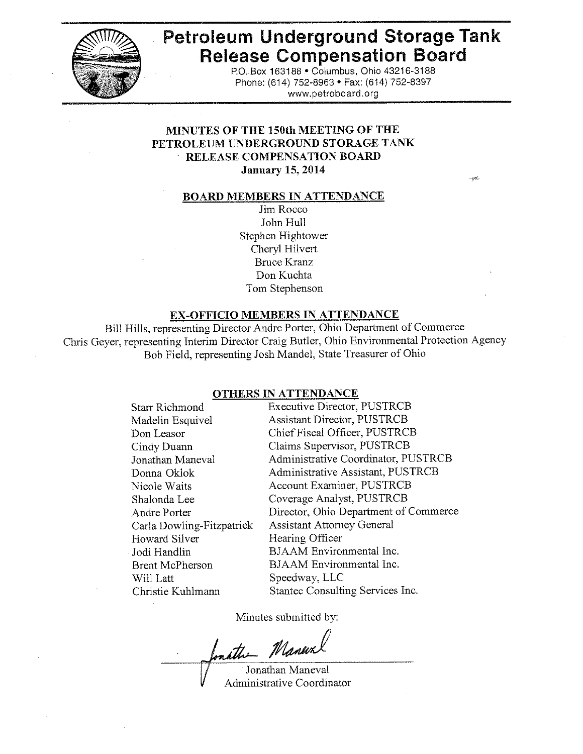

# **Petroleum Underground Storage Tank Release Compensation Board**

P.O. Box 163188 . Columbus, Ohio 43216-3188 Phone: (614) 752-8963 · Fax: (614) 752-8397 www.petroboard.org

# MINUTES OF THE 150th MEETING OF THE PETROLEUM UNDERGROUND STORAGE TANK RELEASE COMPENSATION BOARD **January 15, 2014**

#### **BOARD MEMBERS IN ATTENDANCE**

Jim Rocco John Hull Stephen Hightower Cheryl Hilvert **Bruce Kranz** Don Kuchta Tom Stephenson

#### **EX-OFFICIO MEMBERS IN ATTENDANCE**

Bill Hills, representing Director Andre Porter, Ohio Department of Commerce Chris Geyer, representing Interim Director Craig Butler, Ohio Environmental Protection Agency Bob Field, representing Josh Mandel, State Treasurer of Ohio

#### OTHERS IN ATTENDANCE

| <b>Starr Richmond</b>     | <b>Executive Director, PUSTRCB</b>    |
|---------------------------|---------------------------------------|
| Madelin Esquivel          | <b>Assistant Director, PUSTRCB</b>    |
| Don Leasor                | Chief Fiscal Officer, PUSTRCB         |
| Cindy Duann               | Claims Supervisor, PUSTRCB            |
| Jonathan Maneval          | Administrative Coordinator, PUSTRCB   |
| Donna Oklok               | Administrative Assistant, PUSTRCB     |
| Nicole Waits              | Account Examiner, PUSTRCB             |
| Shalonda Lee              | Coverage Analyst, PUSTRCB             |
| Andre Porter              | Director, Ohio Department of Commerce |
| Carla Dowling-Fitzpatrick | <b>Assistant Attorney General</b>     |
| Howard Silver             | Hearing Officer                       |
| Jodi Handlin              | BJAAM Environmental Inc.              |
| <b>Brent McPherson</b>    | <b>BJAAM</b> Environmental Inc.       |
| Will Latt                 | Speedway, LLC                         |
| Christie Kuhlmann         | Stantee Consulting Services Inc.      |

Minutes submitted by:

mathe Maneur

Jonathan Maneval **Administrative Coordinator**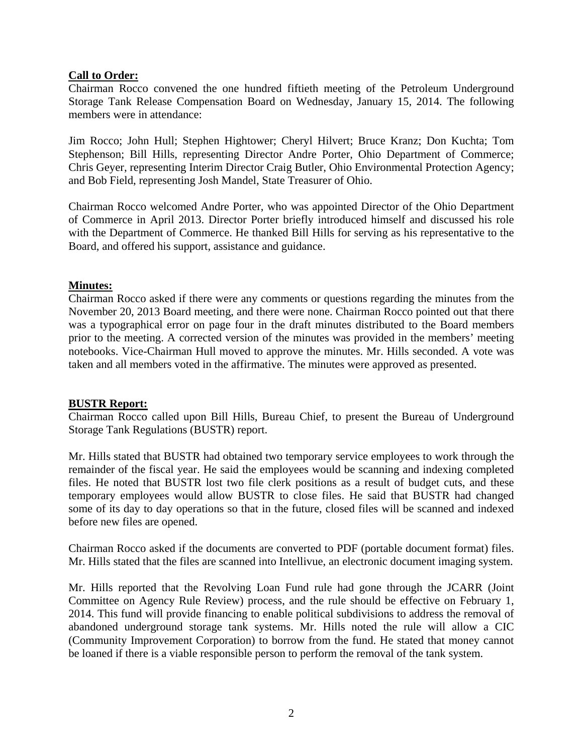# **Call to Order:**

Chairman Rocco convened the one hundred fiftieth meeting of the Petroleum Underground Storage Tank Release Compensation Board on Wednesday, January 15, 2014. The following members were in attendance:

Jim Rocco; John Hull; Stephen Hightower; Cheryl Hilvert; Bruce Kranz; Don Kuchta; Tom Stephenson; Bill Hills, representing Director Andre Porter, Ohio Department of Commerce; Chris Geyer, representing Interim Director Craig Butler, Ohio Environmental Protection Agency; and Bob Field, representing Josh Mandel, State Treasurer of Ohio.

Chairman Rocco welcomed Andre Porter, who was appointed Director of the Ohio Department of Commerce in April 2013. Director Porter briefly introduced himself and discussed his role with the Department of Commerce. He thanked Bill Hills for serving as his representative to the Board, and offered his support, assistance and guidance.

### **Minutes:**

Chairman Rocco asked if there were any comments or questions regarding the minutes from the November 20, 2013 Board meeting, and there were none. Chairman Rocco pointed out that there was a typographical error on page four in the draft minutes distributed to the Board members prior to the meeting. A corrected version of the minutes was provided in the members' meeting notebooks. Vice-Chairman Hull moved to approve the minutes. Mr. Hills seconded. A vote was taken and all members voted in the affirmative. The minutes were approved as presented.

### **BUSTR Report:**

Chairman Rocco called upon Bill Hills, Bureau Chief, to present the Bureau of Underground Storage Tank Regulations (BUSTR) report.

Mr. Hills stated that BUSTR had obtained two temporary service employees to work through the remainder of the fiscal year. He said the employees would be scanning and indexing completed files. He noted that BUSTR lost two file clerk positions as a result of budget cuts, and these temporary employees would allow BUSTR to close files. He said that BUSTR had changed some of its day to day operations so that in the future, closed files will be scanned and indexed before new files are opened.

Chairman Rocco asked if the documents are converted to PDF (portable document format) files. Mr. Hills stated that the files are scanned into Intellivue, an electronic document imaging system.

Mr. Hills reported that the Revolving Loan Fund rule had gone through the JCARR (Joint Committee on Agency Rule Review) process, and the rule should be effective on February 1, 2014. This fund will provide financing to enable political subdivisions to address the removal of abandoned underground storage tank systems. Mr. Hills noted the rule will allow a CIC (Community Improvement Corporation) to borrow from the fund. He stated that money cannot be loaned if there is a viable responsible person to perform the removal of the tank system.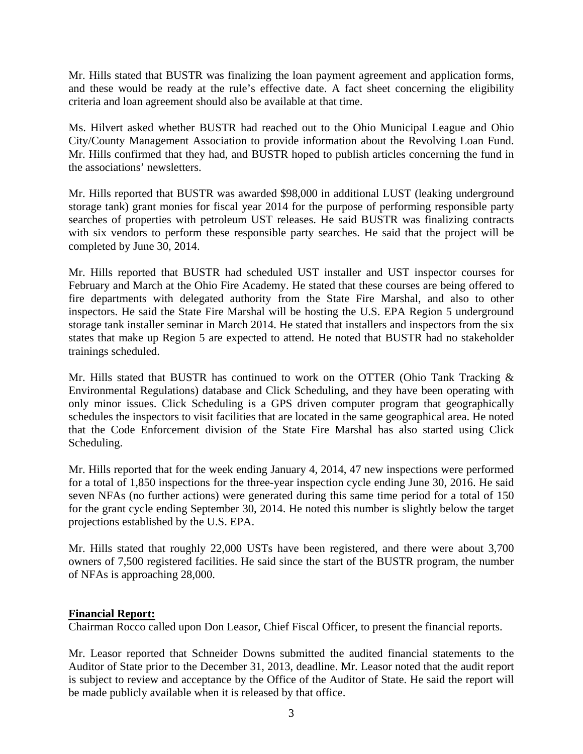Mr. Hills stated that BUSTR was finalizing the loan payment agreement and application forms, and these would be ready at the rule's effective date. A fact sheet concerning the eligibility criteria and loan agreement should also be available at that time.

Ms. Hilvert asked whether BUSTR had reached out to the Ohio Municipal League and Ohio City/County Management Association to provide information about the Revolving Loan Fund. Mr. Hills confirmed that they had, and BUSTR hoped to publish articles concerning the fund in the associations' newsletters.

Mr. Hills reported that BUSTR was awarded \$98,000 in additional LUST (leaking underground storage tank) grant monies for fiscal year 2014 for the purpose of performing responsible party searches of properties with petroleum UST releases. He said BUSTR was finalizing contracts with six vendors to perform these responsible party searches. He said that the project will be completed by June 30, 2014.

Mr. Hills reported that BUSTR had scheduled UST installer and UST inspector courses for February and March at the Ohio Fire Academy. He stated that these courses are being offered to fire departments with delegated authority from the State Fire Marshal, and also to other inspectors. He said the State Fire Marshal will be hosting the U.S. EPA Region 5 underground storage tank installer seminar in March 2014. He stated that installers and inspectors from the six states that make up Region 5 are expected to attend. He noted that BUSTR had no stakeholder trainings scheduled.

Mr. Hills stated that BUSTR has continued to work on the OTTER (Ohio Tank Tracking & Environmental Regulations) database and Click Scheduling, and they have been operating with only minor issues. Click Scheduling is a GPS driven computer program that geographically schedules the inspectors to visit facilities that are located in the same geographical area. He noted that the Code Enforcement division of the State Fire Marshal has also started using Click Scheduling.

Mr. Hills reported that for the week ending January 4, 2014, 47 new inspections were performed for a total of 1,850 inspections for the three-year inspection cycle ending June 30, 2016. He said seven NFAs (no further actions) were generated during this same time period for a total of 150 for the grant cycle ending September 30, 2014. He noted this number is slightly below the target projections established by the U.S. EPA.

Mr. Hills stated that roughly 22,000 USTs have been registered, and there were about 3,700 owners of 7,500 registered facilities. He said since the start of the BUSTR program, the number of NFAs is approaching 28,000.

### **Financial Report:**

Chairman Rocco called upon Don Leasor, Chief Fiscal Officer, to present the financial reports.

Mr. Leasor reported that Schneider Downs submitted the audited financial statements to the Auditor of State prior to the December 31, 2013, deadline. Mr. Leasor noted that the audit report is subject to review and acceptance by the Office of the Auditor of State. He said the report will be made publicly available when it is released by that office.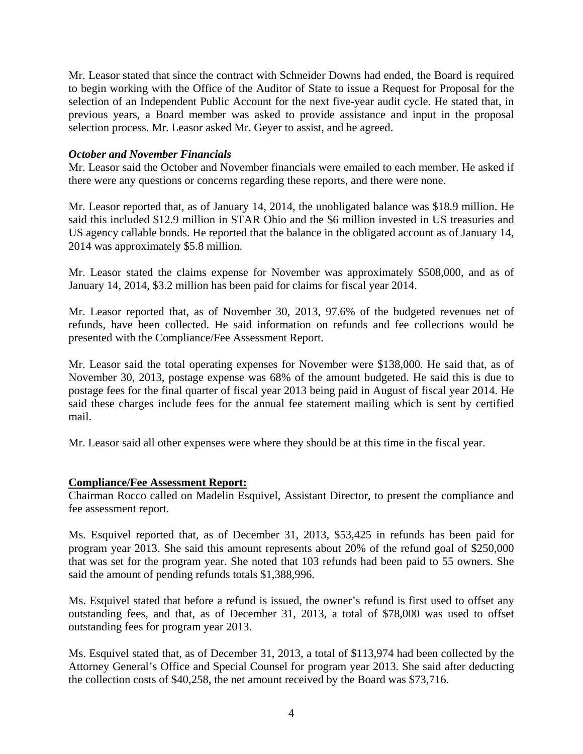Mr. Leasor stated that since the contract with Schneider Downs had ended, the Board is required to begin working with the Office of the Auditor of State to issue a Request for Proposal for the selection of an Independent Public Account for the next five-year audit cycle. He stated that, in previous years, a Board member was asked to provide assistance and input in the proposal selection process. Mr. Leasor asked Mr. Geyer to assist, and he agreed.

## *October and November Financials*

Mr. Leasor said the October and November financials were emailed to each member. He asked if there were any questions or concerns regarding these reports, and there were none.

Mr. Leasor reported that, as of January 14, 2014, the unobligated balance was \$18.9 million. He said this included \$12.9 million in STAR Ohio and the \$6 million invested in US treasuries and US agency callable bonds. He reported that the balance in the obligated account as of January 14, 2014 was approximately \$5.8 million.

Mr. Leasor stated the claims expense for November was approximately \$508,000, and as of January 14, 2014, \$3.2 million has been paid for claims for fiscal year 2014.

Mr. Leasor reported that, as of November 30, 2013, 97.6% of the budgeted revenues net of refunds, have been collected. He said information on refunds and fee collections would be presented with the Compliance/Fee Assessment Report.

Mr. Leasor said the total operating expenses for November were \$138,000. He said that, as of November 30, 2013, postage expense was 68% of the amount budgeted. He said this is due to postage fees for the final quarter of fiscal year 2013 being paid in August of fiscal year 2014. He said these charges include fees for the annual fee statement mailing which is sent by certified mail.

Mr. Leasor said all other expenses were where they should be at this time in the fiscal year.

### **Compliance/Fee Assessment Report:**

Chairman Rocco called on Madelin Esquivel, Assistant Director, to present the compliance and fee assessment report.

Ms. Esquivel reported that, as of December 31, 2013, \$53,425 in refunds has been paid for program year 2013. She said this amount represents about 20% of the refund goal of \$250,000 that was set for the program year. She noted that 103 refunds had been paid to 55 owners. She said the amount of pending refunds totals \$1,388,996.

Ms. Esquivel stated that before a refund is issued, the owner's refund is first used to offset any outstanding fees, and that, as of December 31, 2013, a total of \$78,000 was used to offset outstanding fees for program year 2013.

Ms. Esquivel stated that, as of December 31, 2013, a total of \$113,974 had been collected by the Attorney General's Office and Special Counsel for program year 2013. She said after deducting the collection costs of \$40,258, the net amount received by the Board was \$73,716.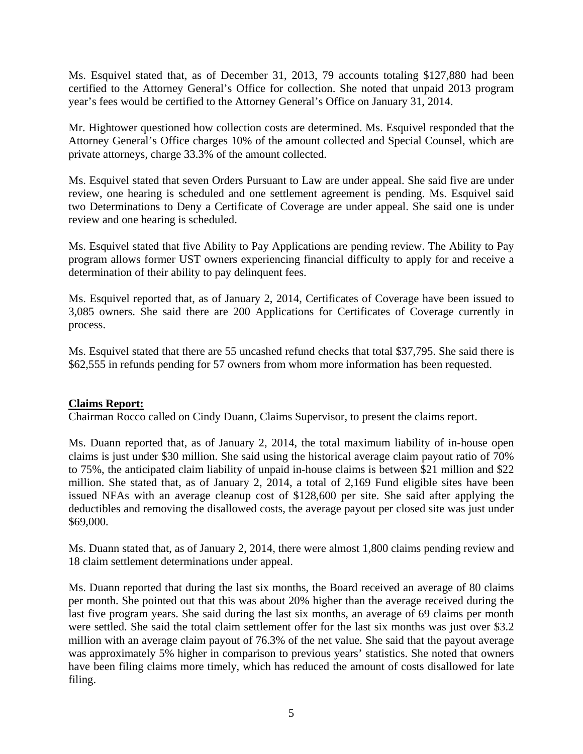Ms. Esquivel stated that, as of December 31, 2013, 79 accounts totaling \$127,880 had been certified to the Attorney General's Office for collection. She noted that unpaid 2013 program year's fees would be certified to the Attorney General's Office on January 31, 2014.

Mr. Hightower questioned how collection costs are determined. Ms. Esquivel responded that the Attorney General's Office charges 10% of the amount collected and Special Counsel, which are private attorneys, charge 33.3% of the amount collected.

Ms. Esquivel stated that seven Orders Pursuant to Law are under appeal. She said five are under review, one hearing is scheduled and one settlement agreement is pending. Ms. Esquivel said two Determinations to Deny a Certificate of Coverage are under appeal. She said one is under review and one hearing is scheduled.

Ms. Esquivel stated that five Ability to Pay Applications are pending review. The Ability to Pay program allows former UST owners experiencing financial difficulty to apply for and receive a determination of their ability to pay delinquent fees.

Ms. Esquivel reported that, as of January 2, 2014, Certificates of Coverage have been issued to 3,085 owners. She said there are 200 Applications for Certificates of Coverage currently in process.

Ms. Esquivel stated that there are 55 uncashed refund checks that total \$37,795. She said there is \$62,555 in refunds pending for 57 owners from whom more information has been requested.

### **Claims Report:**

Chairman Rocco called on Cindy Duann, Claims Supervisor, to present the claims report.

Ms. Duann reported that, as of January 2, 2014, the total maximum liability of in-house open claims is just under \$30 million. She said using the historical average claim payout ratio of 70% to 75%, the anticipated claim liability of unpaid in-house claims is between \$21 million and \$22 million. She stated that, as of January 2, 2014, a total of 2,169 Fund eligible sites have been issued NFAs with an average cleanup cost of \$128,600 per site. She said after applying the deductibles and removing the disallowed costs, the average payout per closed site was just under \$69,000.

Ms. Duann stated that, as of January 2, 2014, there were almost 1,800 claims pending review and 18 claim settlement determinations under appeal.

Ms. Duann reported that during the last six months, the Board received an average of 80 claims per month. She pointed out that this was about 20% higher than the average received during the last five program years. She said during the last six months, an average of 69 claims per month were settled. She said the total claim settlement offer for the last six months was just over \$3.2 million with an average claim payout of 76.3% of the net value. She said that the payout average was approximately 5% higher in comparison to previous years' statistics. She noted that owners have been filing claims more timely, which has reduced the amount of costs disallowed for late filing.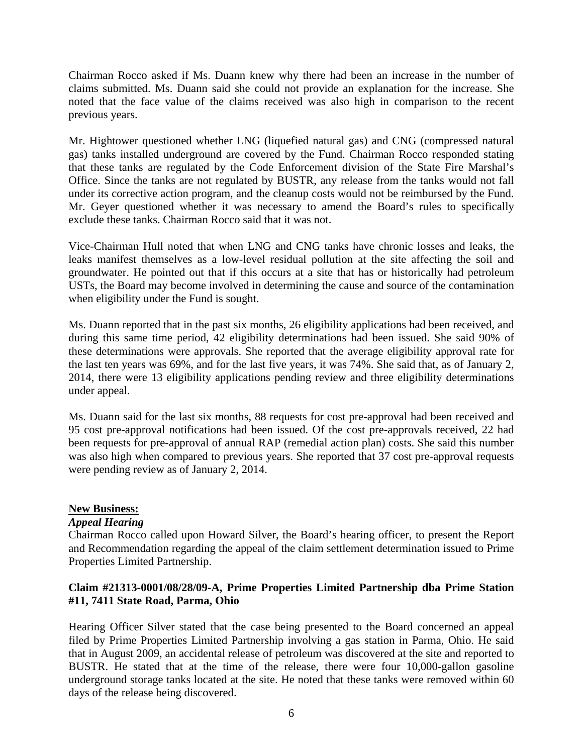Chairman Rocco asked if Ms. Duann knew why there had been an increase in the number of claims submitted. Ms. Duann said she could not provide an explanation for the increase. She noted that the face value of the claims received was also high in comparison to the recent previous years.

Mr. Hightower questioned whether LNG (liquefied natural gas) and CNG (compressed natural gas) tanks installed underground are covered by the Fund. Chairman Rocco responded stating that these tanks are regulated by the Code Enforcement division of the State Fire Marshal's Office. Since the tanks are not regulated by BUSTR, any release from the tanks would not fall under its corrective action program, and the cleanup costs would not be reimbursed by the Fund. Mr. Geyer questioned whether it was necessary to amend the Board's rules to specifically exclude these tanks. Chairman Rocco said that it was not.

Vice-Chairman Hull noted that when LNG and CNG tanks have chronic losses and leaks, the leaks manifest themselves as a low-level residual pollution at the site affecting the soil and groundwater. He pointed out that if this occurs at a site that has or historically had petroleum USTs, the Board may become involved in determining the cause and source of the contamination when eligibility under the Fund is sought.

Ms. Duann reported that in the past six months, 26 eligibility applications had been received, and during this same time period, 42 eligibility determinations had been issued. She said 90% of these determinations were approvals. She reported that the average eligibility approval rate for the last ten years was 69%, and for the last five years, it was 74%. She said that, as of January 2, 2014, there were 13 eligibility applications pending review and three eligibility determinations under appeal.

Ms. Duann said for the last six months, 88 requests for cost pre-approval had been received and 95 cost pre-approval notifications had been issued. Of the cost pre-approvals received, 22 had been requests for pre-approval of annual RAP (remedial action plan) costs. She said this number was also high when compared to previous years. She reported that 37 cost pre-approval requests were pending review as of January 2, 2014.

### **New Business:**

### *Appeal Hearing*

Chairman Rocco called upon Howard Silver, the Board's hearing officer, to present the Report and Recommendation regarding the appeal of the claim settlement determination issued to Prime Properties Limited Partnership.

# **Claim #21313-0001/08/28/09-A, Prime Properties Limited Partnership dba Prime Station #11, 7411 State Road, Parma, Ohio**

Hearing Officer Silver stated that the case being presented to the Board concerned an appeal filed by Prime Properties Limited Partnership involving a gas station in Parma, Ohio. He said that in August 2009, an accidental release of petroleum was discovered at the site and reported to BUSTR. He stated that at the time of the release, there were four 10,000-gallon gasoline underground storage tanks located at the site. He noted that these tanks were removed within 60 days of the release being discovered.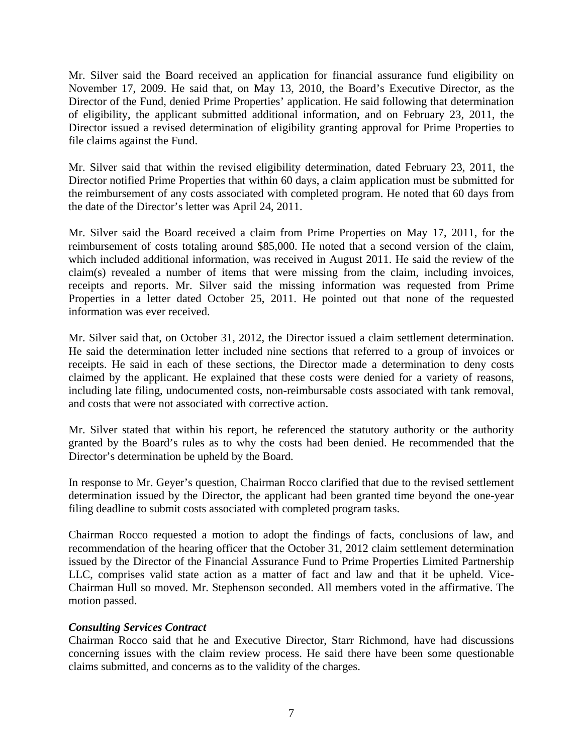Mr. Silver said the Board received an application for financial assurance fund eligibility on November 17, 2009. He said that, on May 13, 2010, the Board's Executive Director, as the Director of the Fund, denied Prime Properties' application. He said following that determination of eligibility, the applicant submitted additional information, and on February 23, 2011, the Director issued a revised determination of eligibility granting approval for Prime Properties to file claims against the Fund.

Mr. Silver said that within the revised eligibility determination, dated February 23, 2011, the Director notified Prime Properties that within 60 days, a claim application must be submitted for the reimbursement of any costs associated with completed program. He noted that 60 days from the date of the Director's letter was April 24, 2011.

Mr. Silver said the Board received a claim from Prime Properties on May 17, 2011, for the reimbursement of costs totaling around \$85,000. He noted that a second version of the claim, which included additional information, was received in August 2011. He said the review of the claim(s) revealed a number of items that were missing from the claim, including invoices, receipts and reports. Mr. Silver said the missing information was requested from Prime Properties in a letter dated October 25, 2011. He pointed out that none of the requested information was ever received.

Mr. Silver said that, on October 31, 2012, the Director issued a claim settlement determination. He said the determination letter included nine sections that referred to a group of invoices or receipts. He said in each of these sections, the Director made a determination to deny costs claimed by the applicant. He explained that these costs were denied for a variety of reasons, including late filing, undocumented costs, non-reimbursable costs associated with tank removal, and costs that were not associated with corrective action.

Mr. Silver stated that within his report, he referenced the statutory authority or the authority granted by the Board's rules as to why the costs had been denied. He recommended that the Director's determination be upheld by the Board.

In response to Mr. Geyer's question, Chairman Rocco clarified that due to the revised settlement determination issued by the Director, the applicant had been granted time beyond the one-year filing deadline to submit costs associated with completed program tasks.

Chairman Rocco requested a motion to adopt the findings of facts, conclusions of law, and recommendation of the hearing officer that the October 31, 2012 claim settlement determination issued by the Director of the Financial Assurance Fund to Prime Properties Limited Partnership LLC, comprises valid state action as a matter of fact and law and that it be upheld. Vice-Chairman Hull so moved. Mr. Stephenson seconded. All members voted in the affirmative. The motion passed.

# *Consulting Services Contract*

Chairman Rocco said that he and Executive Director, Starr Richmond, have had discussions concerning issues with the claim review process. He said there have been some questionable claims submitted, and concerns as to the validity of the charges.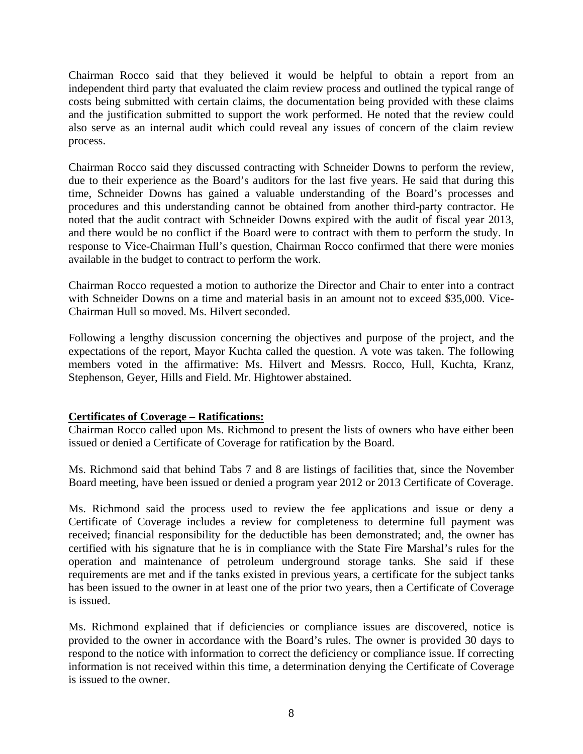Chairman Rocco said that they believed it would be helpful to obtain a report from an independent third party that evaluated the claim review process and outlined the typical range of costs being submitted with certain claims, the documentation being provided with these claims and the justification submitted to support the work performed. He noted that the review could also serve as an internal audit which could reveal any issues of concern of the claim review process.

Chairman Rocco said they discussed contracting with Schneider Downs to perform the review, due to their experience as the Board's auditors for the last five years. He said that during this time, Schneider Downs has gained a valuable understanding of the Board's processes and procedures and this understanding cannot be obtained from another third-party contractor. He noted that the audit contract with Schneider Downs expired with the audit of fiscal year 2013, and there would be no conflict if the Board were to contract with them to perform the study. In response to Vice-Chairman Hull's question, Chairman Rocco confirmed that there were monies available in the budget to contract to perform the work.

Chairman Rocco requested a motion to authorize the Director and Chair to enter into a contract with Schneider Downs on a time and material basis in an amount not to exceed \$35,000. Vice-Chairman Hull so moved. Ms. Hilvert seconded.

Following a lengthy discussion concerning the objectives and purpose of the project, and the expectations of the report, Mayor Kuchta called the question. A vote was taken. The following members voted in the affirmative: Ms. Hilvert and Messrs. Rocco, Hull, Kuchta, Kranz, Stephenson, Geyer, Hills and Field. Mr. Hightower abstained.

# **Certificates of Coverage – Ratifications:**

Chairman Rocco called upon Ms. Richmond to present the lists of owners who have either been issued or denied a Certificate of Coverage for ratification by the Board.

Ms. Richmond said that behind Tabs 7 and 8 are listings of facilities that, since the November Board meeting, have been issued or denied a program year 2012 or 2013 Certificate of Coverage.

Ms. Richmond said the process used to review the fee applications and issue or deny a Certificate of Coverage includes a review for completeness to determine full payment was received; financial responsibility for the deductible has been demonstrated; and, the owner has certified with his signature that he is in compliance with the State Fire Marshal's rules for the operation and maintenance of petroleum underground storage tanks. She said if these requirements are met and if the tanks existed in previous years, a certificate for the subject tanks has been issued to the owner in at least one of the prior two years, then a Certificate of Coverage is issued.

Ms. Richmond explained that if deficiencies or compliance issues are discovered, notice is provided to the owner in accordance with the Board's rules. The owner is provided 30 days to respond to the notice with information to correct the deficiency or compliance issue. If correcting information is not received within this time, a determination denying the Certificate of Coverage is issued to the owner.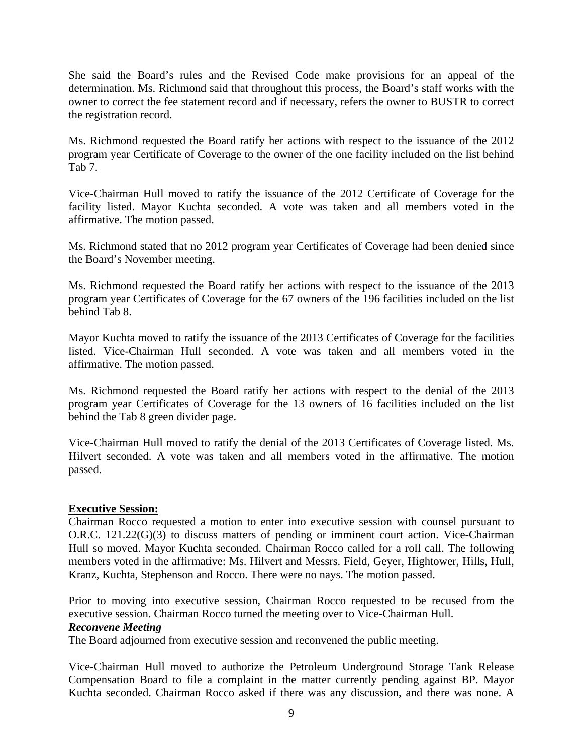She said the Board's rules and the Revised Code make provisions for an appeal of the determination. Ms. Richmond said that throughout this process, the Board's staff works with the owner to correct the fee statement record and if necessary, refers the owner to BUSTR to correct the registration record.

Ms. Richmond requested the Board ratify her actions with respect to the issuance of the 2012 program year Certificate of Coverage to the owner of the one facility included on the list behind Tab 7.

Vice-Chairman Hull moved to ratify the issuance of the 2012 Certificate of Coverage for the facility listed. Mayor Kuchta seconded. A vote was taken and all members voted in the affirmative. The motion passed.

Ms. Richmond stated that no 2012 program year Certificates of Coverage had been denied since the Board's November meeting.

Ms. Richmond requested the Board ratify her actions with respect to the issuance of the 2013 program year Certificates of Coverage for the 67 owners of the 196 facilities included on the list behind Tab 8.

Mayor Kuchta moved to ratify the issuance of the 2013 Certificates of Coverage for the facilities listed. Vice-Chairman Hull seconded. A vote was taken and all members voted in the affirmative. The motion passed.

Ms. Richmond requested the Board ratify her actions with respect to the denial of the 2013 program year Certificates of Coverage for the 13 owners of 16 facilities included on the list behind the Tab 8 green divider page.

Vice-Chairman Hull moved to ratify the denial of the 2013 Certificates of Coverage listed. Ms. Hilvert seconded. A vote was taken and all members voted in the affirmative. The motion passed.

### **Executive Session:**

Chairman Rocco requested a motion to enter into executive session with counsel pursuant to O.R.C. 121.22(G)(3) to discuss matters of pending or imminent court action. Vice-Chairman Hull so moved. Mayor Kuchta seconded. Chairman Rocco called for a roll call. The following members voted in the affirmative: Ms. Hilvert and Messrs. Field, Geyer, Hightower, Hills, Hull, Kranz, Kuchta, Stephenson and Rocco. There were no nays. The motion passed.

Prior to moving into executive session, Chairman Rocco requested to be recused from the executive session. Chairman Rocco turned the meeting over to Vice-Chairman Hull.

### *Reconvene Meeting*

The Board adjourned from executive session and reconvened the public meeting.

Vice-Chairman Hull moved to authorize the Petroleum Underground Storage Tank Release Compensation Board to file a complaint in the matter currently pending against BP. Mayor Kuchta seconded. Chairman Rocco asked if there was any discussion, and there was none. A